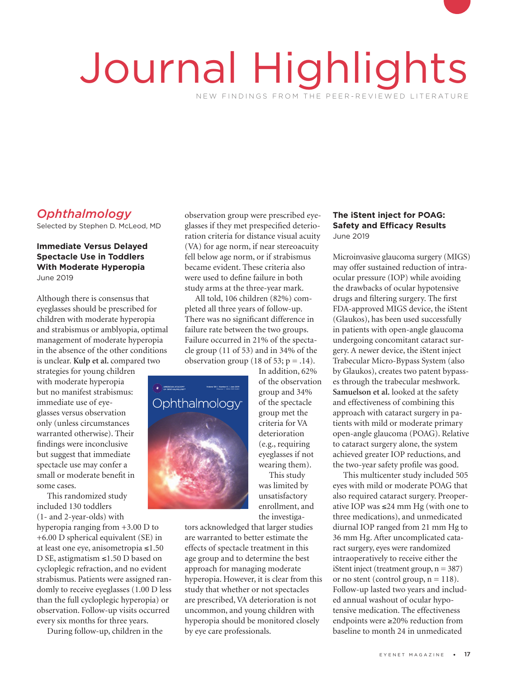# Journal Highlights NEW FINDINGS FROM THE PEER-REVIEWED LITERATURE

# *Ophthalmology*

Selected by Stephen D. McLeod, MD

## **Immediate Versus Delayed Spectacle Use in Toddlers With Moderate Hyperopia** June 2019

Although there is consensus that eyeglasses should be prescribed for children with moderate hyperopia and strabismus or amblyopia, optimal management of moderate hyperopia in the absence of the other conditions is unclear. **Kulp et al.** compared two

strategies for young children with moderate hyperopia but no manifest strabismus: immediate use of eyeglasses versus observation only (unless circumstances warranted otherwise). Their findings were inconclusive but suggest that immediate spectacle use may confer a small or moderate benefit in some cases. otherwise)<br>Interpreties that immun

This randomized study included 130 toddlers  $(1-$  and 2-year-olds) with

hyperopia ranging from +3.00 D to +6.00 D spherical equivalent (SE) in at least one eye, anisometropia ≤1.50 D SE, astigmatism ≤1.50 D based on cycloplegic refraction, and no evident strabismus. Patients were assigned randomly to receive eyeglasses (1.00 D less than the full cycloplegic hyperopia) or observation. Follow-up visits occurred every six months for three years.

During follow-up, children in the

observation group were prescribed eyeglasses if they met prespecified deterioration criteria for distance visual acuity (VA) for age norm, if near stereoacuity fell below age norm, or if strabismus became evident. These criteria also were used to define failure in both study arms at the three-year mark.

All told, 106 children (82%) completed all three years of follow-up. There was no significant difference in failure rate between the two groups. Failure occurred in 21% of the spectacle group (11 of 53) and in 34% of the observation group (18 of 53;  $p = .14$ ).



In addition, 62% of the observation group and 34% of the spectacle group met the criteria for VA deterioration (e.g., requiring eyeglasses if not wearing them). This study

was limited by unsatisfactory enrollment, and the investiga-

tors acknowledged that larger studies are warranted to better estimate the effects of spectacle treatment in this age group and to determine the best approach for managing moderate hyperopia. However, it is clear from this study that whether or not spectacles are prescribed, VA deterioration is not uncommon, and young children with hyperopia should be monitored closely by eye care professionals.

## **The iStent inject for POAG: Safety and Efficacy Results** June 2019

Microinvasive glaucoma surgery (MIGS) may offer sustained reduction of intraocular pressure (IOP) while avoiding the drawbacks of ocular hypotensive drugs and filtering surgery. The first FDA-approved MIGS device, the iStent (Glaukos), has been used successfully in patients with open-angle glaucoma undergoing concomitant cataract surgery. A newer device, the iStent inject Trabecular Micro-Bypass System (also by Glaukos), creates two patent bypasses through the trabecular meshwork. **Samuelson et al.** looked at the safety and effectiveness of combining this approach with cataract surgery in patients with mild or moderate primary open-angle glaucoma (POAG). Relative to cataract surgery alone, the system achieved greater IOP reductions, and the two-year safety profile was good.

This multicenter study included 505 eyes with mild or moderate POAG that also required cataract surgery. Preoperative IOP was ≤24 mm Hg (with one to three medications), and unmedicated diurnal IOP ranged from 21 mm Hg to 36 mm Hg. After uncomplicated cataract surgery, eyes were randomized intraoperatively to receive either the iStent inject (treatment group,  $n = 387$ ) or no stent (control group,  $n = 118$ ). Follow-up lasted two years and included annual washout of ocular hypotensive medication. The effectiveness endpoints were ≥20% reduction from baseline to month 24 in unmedicated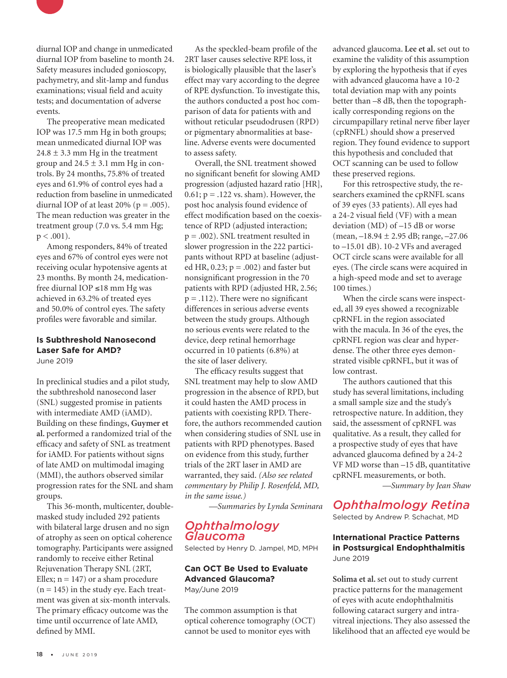

diurnal IOP and change in unmedicated diurnal IOP from baseline to month 24. Safety measures included gonioscopy, pachymetry, and slit-lamp and fundus examinations; visual field and acuity tests; and documentation of adverse events.

The preoperative mean medicated IOP was 17.5 mm Hg in both groups; mean unmedicated diurnal IOP was  $24.8 \pm 3.3$  mm Hg in the treatment group and  $24.5 \pm 3.1$  mm Hg in controls. By 24 months, 75.8% of treated eyes and 61.9% of control eyes had a reduction from baseline in unmedicated diurnal IOP of at least  $20\%$  ( $p = .005$ ). The mean reduction was greater in the treatment group (7.0 vs. 5.4 mm Hg;  $p < .001$ ).

Among responders, 84% of treated eyes and 67% of control eyes were not receiving ocular hypotensive agents at 23 months. By month 24, medicationfree diurnal IOP ≤18 mm Hg was achieved in 63.2% of treated eyes and 50.0% of control eyes. The safety profiles were favorable and similar.

# **Is Subthreshold Nanosecond Laser Safe for AMD?**

June 2019

In preclinical studies and a pilot study, the subthreshold nanosecond laser (SNL) suggested promise in patients with intermediate AMD (iAMD). Building on these findings, **Guymer et al.** performed a randomized trial of the efficacy and safety of SNL as treatment for iAMD. For patients without signs of late AMD on multimodal imaging (MMI), the authors observed similar progression rates for the SNL and sham groups.

This 36-month, multicenter, doublemasked study included 292 patients with bilateral large drusen and no sign of atrophy as seen on optical coherence tomography. Participants were assigned randomly to receive either Retinal Rejuvenation Therapy SNL (2RT, Ellex;  $n = 147$ ) or a sham procedure  $(n = 145)$  in the study eye. Each treatment was given at six-month intervals. The primary efficacy outcome was the time until occurrence of late AMD, defined by MMI.

As the speckled-beam profile of the 2RT laser causes selective RPE loss, it is biologically plausible that the laser's effect may vary according to the degree of RPE dysfunction. To investigate this, the authors conducted a post hoc comparison of data for patients with and without reticular pseudodrusen (RPD) or pigmentary abnormalities at baseline. Adverse events were documented to assess safety.

Overall, the SNL treatment showed no significant benefit for slowing AMD progression (adjusted hazard ratio [HR],  $0.61$ ;  $p = .122$  vs. sham). However, the post hoc analysis found evidence of effect modification based on the coexistence of RPD (adjusted interaction; p = .002). SNL treatment resulted in slower progression in the 222 participants without RPD at baseline (adjusted HR,  $0.23$ ;  $p = .002$ ) and faster but nonsignificant progression in the 70 patients with RPD (adjusted HR, 2.56;  $p = .112$ ). There were no significant differences in serious adverse events between the study groups. Although no serious events were related to the device, deep retinal hemorrhage occurred in 10 patients (6.8%) at the site of laser delivery.

The efficacy results suggest that SNL treatment may help to slow AMD progression in the absence of RPD, but it could hasten the AMD process in patients with coexisting RPD. Therefore, the authors recommended caution when considering studies of SNL use in patients with RPD phenotypes. Based on evidence from this study, further trials of the 2RT laser in AMD are warranted, they said. *(Also see related commentary by Philip J. Rosenfeld, MD, in the same issue.)* 

*—Summaries by Lynda Seminara*

## *Ophthalmology Glaucoma*

Selected by Henry D. Jampel, MD, MPH

#### **Can OCT Be Used to Evaluate Advanced Glaucoma?** May/June 2019

The common assumption is that optical coherence tomography (OCT) cannot be used to monitor eyes with

advanced glaucoma. **Lee et al.** set out to examine the validity of this assumption by exploring the hypothesis that if eyes with advanced glaucoma have a 10-2 total deviation map with any points better than –8 dB, then the topographically corresponding regions on the circumpapillary retinal nerve fiber layer (cpRNFL) should show a preserved region. They found evidence to support this hypothesis and concluded that OCT scanning can be used to follow these preserved regions.

For this retrospective study, the researchers examined the cpRNFL scans of 39 eyes (33 patients). All eyes had a 24-2 visual field (VF) with a mean deviation (MD) of –15 dB or worse (mean, –18.94 ± 2.95 dB; range, –27.06 to  $-15.01$  dB). 10-2 VFs and averaged OCT circle scans were available for all eyes. (The circle scans were acquired in a high-speed mode and set to average 100 times.)

When the circle scans were inspected, all 39 eyes showed a recognizable cpRNFL in the region associated with the macula. In 36 of the eyes, the cpRNFL region was clear and hyperdense. The other three eyes demonstrated visible cpRNFL, but it was of low contrast.

The authors cautioned that this study has several limitations, including a small sample size and the study's retrospective nature. In addition, they said, the assessment of cpRNFL was qualitative. As a result, they called for a prospective study of eyes that have advanced glaucoma defined by a 24-2 VF MD worse than –15 dB, quantitative cpRNFL measurements, or both. *—Summary by Jean Shaw*

# *Ophthalmology Retina*

Selected by Andrew P. Schachat, MD

#### **International Practice Patterns in Postsurgical Endophthalmitis** June 2019

**Solima et al.** set out to study current practice patterns for the management of eyes with acute endophthalmitis following cataract surgery and intravitreal injections. They also assessed the likelihood that an affected eye would be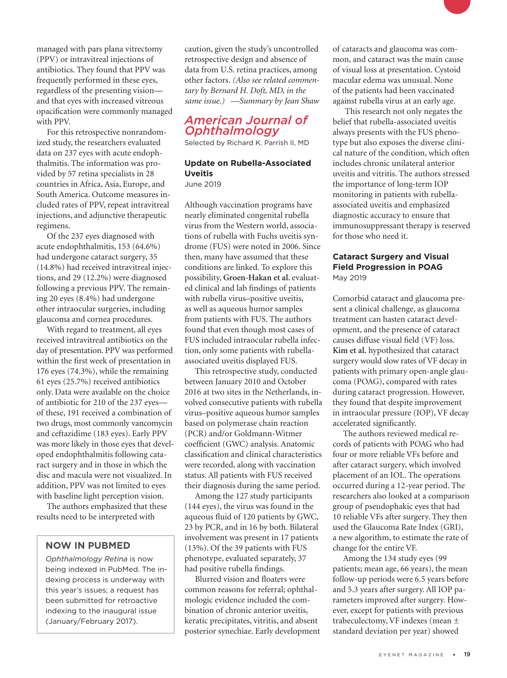managed with pars plana vitrectomy (PPV) or intravitreal injections of antibiotics. They found that PPV was frequently performed in these eyes, regardless of the presenting vision and that eyes with increased vitreous opacification were commonly managed with PPV.

For this retrospective nonrandomized study, the researchers evaluated data on 237 eyes with acute endophthalmitis. The information was provided by 57 retina specialists in 28 countries in Africa, Asia, Europe, and South America. Outcome measures included rates of PPV, repeat intravitreal injections, and adjunctive therapeutic regimens.

Of the 237 eyes diagnosed with acute endophthalmitis, 153 (64.6%) had undergone cataract surgery, 35 (14.8%) had received intravitreal injections, and 29 (12.2%) were diagnosed following a previous PPV. The remaining 20 eyes (8.4%) had undergone other intraocular surgeries, including glaucoma and cornea procedures.

With regard to treatment, all eyes received intravitreal antibiotics on the day of presentation. PPV was performed within the first week of presentation in 176 eyes (74.3%), while the remaining 61 eyes (25.7%) received antibiotics only. Data were available on the choice of antibiotic for 210 of the 237 eyes of these, 191 received a combination of two drugs, most commonly vancomycin and ceftazidime (183 eyes). Early PPV was more likely in those eyes that developed endophthalmitis following cataract surgery and in those in which the disc and macula were not visualized. In addition, PPV was not limited to eyes with baseline light perception vision.

The authors emphasized that these results need to be interpreted with

## **NOW IN PUBMED**

*Ophthalmology Retina* is now being indexed in PubMed. The indexing process is underway with this year's issues; a request has been submitted for retroactive indexing to the inaugural issue (January/February 2017).

caution, given the study's uncontrolled retrospective design and absence of data from U.S. retina practices, among other factors. *(Also see related commentary by Bernard H. Doft, MD, in the same issue.) —Summary by Jean Shaw*

## *American Journal of Ophthalmology*

Selected by Richard K. Parrish II, MD

## **Update on Rubella-Associated Uveitis**

June 2019

Although vaccination programs have nearly eliminated congenital rubella virus from the Western world, associations of rubella with Fuchs uveitis syndrome (FUS) were noted in 2006. Since then, many have assumed that these conditions are linked. To explore this possibility, **Groen-Hakan et al.** evaluated clinical and lab findings of patients with rubella virus–positive uveitis, as well as aqueous humor samples from patients with FUS. The authors found that even though most cases of FUS included intraocular rubella infection, only some patients with rubellaassociated uveitis displayed FUS.

This retrospective study, conducted between January 2010 and October 2016 at two sites in the Netherlands, involved consecutive patients with rubella virus–positive aqueous humor samples based on polymerase chain reaction (PCR) and/or Goldmann-Witmer coefficient (GWC) analysis. Anatomic classification and clinical characteristics were recorded, along with vaccination status. All patients with FUS received their diagnosis during the same period.

Among the 127 study participants (144 eyes), the virus was found in the aqueous fluid of 120 patients by GWC, 23 by PCR, and in 16 by both. Bilateral involvement was present in 17 patients (13%). Of the 39 patients with FUS phenotype, evaluated separately, 37 had positive rubella findings.

Blurred vision and floaters were common reasons for referral; ophthalmologic evidence included the combination of chronic anterior uveitis, keratic precipitates, vitritis, and absent posterior synechiae. Early development of cataracts and glaucoma was common, and cataract was the main cause of visual loss at presentation. Cystoid macular edema was unusual. None of the patients had been vaccinated against rubella virus at an early age.

 This research not only negates the belief that rubella-associated uveitis always presents with the FUS phenotype but also exposes the diverse clinical nature of the condition, which often includes chronic unilateral anterior uveitis and vitritis. The authors stressed the importance of long-term IOP monitoring in patients with rubellaassociated uveitis and emphasized diagnostic accuracy to ensure that immunosuppressant therapy is reserved for those who need it.

## **Cataract Surgery and Visual Field Progression in POAG** May 2019

Comorbid cataract and glaucoma present a clinical challenge, as glaucoma treatment can hasten cataract development, and the presence of cataract causes diffuse visual field (VF) loss. **Kim et al.** hypothesized that cataract surgery would slow rates of VF decay in patients with primary open-angle glaucoma (POAG), compared with rates during cataract progression. However, they found that despite improvement in intraocular pressure (IOP), VF decay accelerated significantly.

The authors reviewed medical records of patients with POAG who had four or more reliable VFs before and after cataract surgery, which involved placement of an IOL. The operations occurred during a 12-year period. The researchers also looked at a comparison group of pseudophakic eyes that had 10 reliable VFs after surgery. They then used the Glaucoma Rate Index (GRI), a new algorithm, to estimate the rate of change for the entire VF.

Among the 134 study eyes (99 patients; mean age, 66 years), the mean follow-up periods were 6.5 years before and 5.3 years after surgery. All IOP parameters improved after surgery. However, except for patients with previous trabeculectomy, VF indexes (mean ± standard deviation per year) showed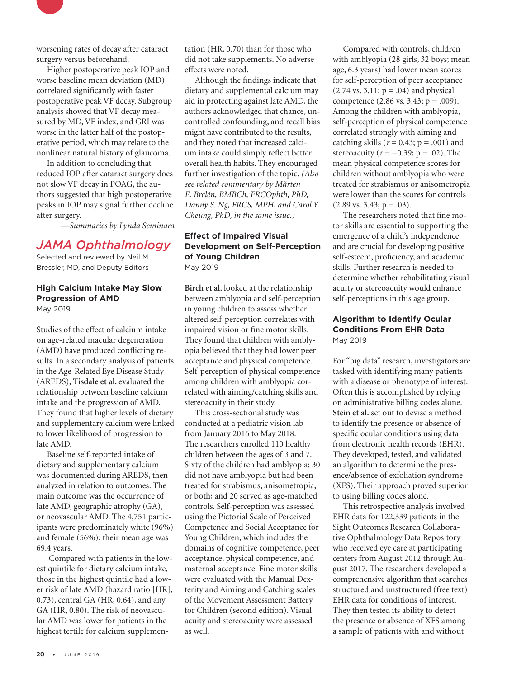

worsening rates of decay after cataract surgery versus beforehand.

Higher postoperative peak IOP and worse baseline mean deviation (MD) correlated significantly with faster postoperative peak VF decay. Subgroup analysis showed that VF decay measured by MD, VF index, and GRI was worse in the latter half of the postoperative period, which may relate to the nonlinear natural history of glaucoma.

In addition to concluding that reduced IOP after cataract surgery does not slow VF decay in POAG, the authors suggested that high postoperative peaks in IOP may signal further decline after surgery.

*—Summaries by Lynda Seminara*

## *JAMA Ophthalmology*

Selected and reviewed by Neil M. Bressler, MD, and Deputy Editors

#### **High Calcium Intake May Slow Progression of AMD** May 2019

Studies of the effect of calcium intake on age-related macular degeneration (AMD) have produced conflicting results. In a secondary analysis of patients in the Age-Related Eye Disease Study (AREDS), **Tisdale et al.** evaluated the relationship between baseline calcium intake and the progression of AMD. They found that higher levels of dietary and supplementary calcium were linked to lower likelihood of progression to late AMD.

Baseline self-reported intake of dietary and supplementary calcium was documented during AREDS, then analyzed in relation to outcomes. The main outcome was the occurrence of late AMD, geographic atrophy (GA), or neovascular AMD. The 4,751 participants were predominately white (96%) and female (56%); their mean age was 69.4 years.

 Compared with patients in the lowest quintile for dietary calcium intake, those in the highest quintile had a lower risk of late AMD (hazard ratio [HR], 0.73), central GA (HR, 0.64), and any GA (HR, 0.80). The risk of neovascular AMD was lower for patients in the highest tertile for calcium supplementation (HR, 0.70) than for those who did not take supplements. No adverse effects were noted.

Although the findings indicate that dietary and supplemental calcium may aid in protecting against late AMD, the authors acknowledged that chance, uncontrolled confounding, and recall bias might have contributed to the results, and they noted that increased calcium intake could simply reflect better overall health habits. They encouraged further investigation of the topic. *(Also see related commentary by Mårten E. Brelén, BMBCh, FRCOphth, PhD, Danny S. Ng, FRCS, MPH, and Carol Y. Cheung, PhD, in the same issue.)*

## **Effect of Impaired Visual Development on Self-Perception of Young Children** May 2019

**Birch et al.** looked at the relationship between amblyopia and self-perception in young children to assess whether altered self-perception correlates with impaired vision or fine motor skills. They found that children with amblyopia believed that they had lower peer acceptance and physical competence. Self-perception of physical competence among children with amblyopia correlated with aiming/catching skills and stereoacuity in their study.

This cross-sectional study was conducted at a pediatric vision lab from January 2016 to May 2018. The researchers enrolled 110 healthy children between the ages of 3 and 7. Sixty of the children had amblyopia; 30 did not have amblyopia but had been treated for strabismus, anisometropia, or both; and 20 served as age-matched controls. Self-perception was assessed using the Pictorial Scale of Perceived Competence and Social Acceptance for Young Children, which includes the domains of cognitive competence, peer acceptance, physical competence, and maternal acceptance. Fine motor skills were evaluated with the Manual Dexterity and Aiming and Catching scales of the Movement Assessment Battery for Children (second edition). Visual acuity and stereoacuity were assessed as well.

Compared with controls, children with amblyopia (28 girls, 32 boys; mean age, 6.3 years) had lower mean scores for self-perception of peer acceptance  $(2.74 \text{ vs. } 3.11; \text{ p} = .04)$  and physical competence  $(2.86 \text{ vs. } 3.43; \text{ p} = .009)$ . Among the children with amblyopia, self-perception of physical competence correlated strongly with aiming and catching skills ( $r = 0.43$ ;  $p = .001$ ) and stereoacuity ( $r = -0.39$ ;  $p = .02$ ). The mean physical competence scores for children without amblyopia who were treated for strabismus or anisometropia were lower than the scores for controls  $(2.89 \text{ vs. } 3.43; \text{ p} = .03).$ 

The researchers noted that fine motor skills are essential to supporting the emergence of a child's independence and are crucial for developing positive self-esteem, proficiency, and academic skills. Further research is needed to determine whether rehabilitating visual acuity or stereoacuity would enhance self-perceptions in this age group.

## **Algorithm to Identify Ocular Conditions From EHR Data** May 2019

For "big data" research, investigators are tasked with identifying many patients with a disease or phenotype of interest. Often this is accomplished by relying on administrative billing codes alone. **Stein et al.** set out to devise a method to identify the presence or absence of specific ocular conditions using data from electronic health records (EHR). They developed, tested, and validated an algorithm to determine the presence/absence of exfoliation syndrome (XFS). Their approach proved superior to using billing codes alone.

This retrospective analysis involved EHR data for 122,339 patients in the Sight Outcomes Research Collaborative Ophthalmology Data Repository who received eye care at participating centers from August 2012 through August 2017. The researchers developed a comprehensive algorithm that searches structured and unstructured (free text) EHR data for conditions of interest. They then tested its ability to detect the presence or absence of XFS among a sample of patients with and without